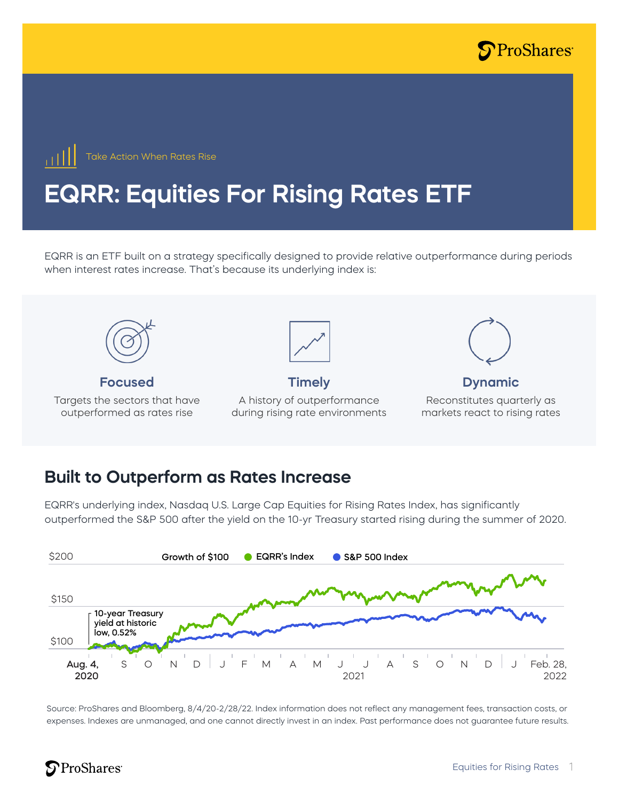



# **EQRR: Equities For Rising Rates ETF**

EQRR is an ETF built on a strategy specifically designed to provide relative outperformance during periods when interest rates increase. That's because its underlying index is:



#### **Built to Outperform as Rates Increase**

EQRR's underlying index, Nasdaq U.S. Large Cap Equities for Rising Rates Index, has significantly outperformed the S&P 500 after the yield on the 10-yr Treasury started rising during the summer of 2020.



Source: ProShares and Bloomberg, 8/4/20-2/28/22. Index information does not reflect any management fees, transaction costs, or expenses. Indexes are unmanaged, and one cannot directly invest in an index. Past performance does not guarantee future results.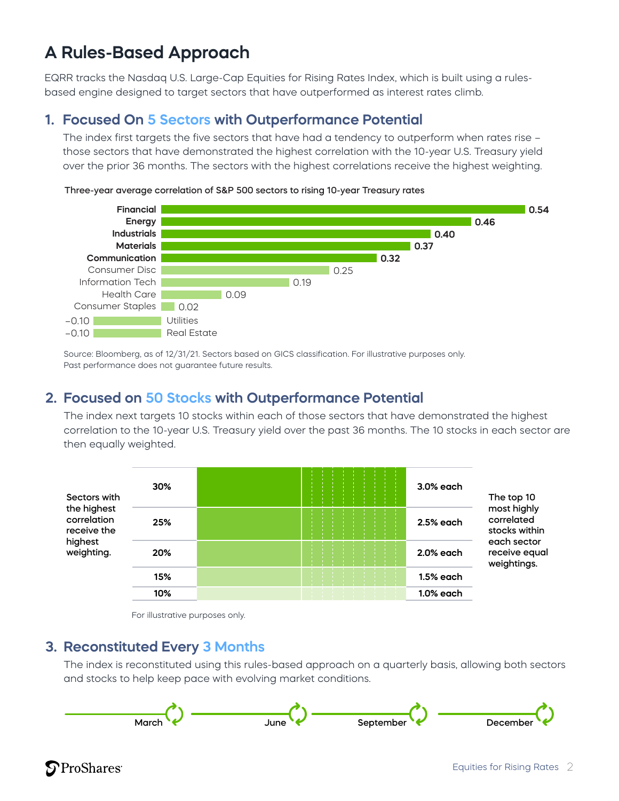## **A Rules-Based Approach**

EQRR tracks the Nasdaq U.S. Large-Cap Equities for Rising Rates Index, which is built using a rulesbased engine designed to target sectors that have outperformed as interest rates climb.

#### **1. Focused On 5 Sectors with Outperformance Potential**

The index first targets the five sectors that have had a tendency to outperform when rates rise – those sectors that have demonstrated the highest correlation with the 10-year U.S. Treasury yield over the prior 36 months. The sectors with the highest correlations receive the highest weighting.



Three-year average correlation of S&P 500 sectors to rising 10-year Treasury rates

Source: Bloomberg, as of 12/31/21. Sectors based on GICS classification. For illustrative purposes only. Past performance does not guarantee future results.

#### **2. Focused on 50 Stocks with Outperformance Potential**

The index next targets 10 stocks within each of those sectors that have demonstrated the highest correlation to the 10-year U.S. Treasury yield over the past 36 months. The 10 stocks in each sector are then equally weighted.





#### **3. Reconstituted Every 3 Months**

The index is reconstituted using this rules-based approach on a quarterly basis, allowing both sectors and stocks to help keep pace with evolving market conditions.



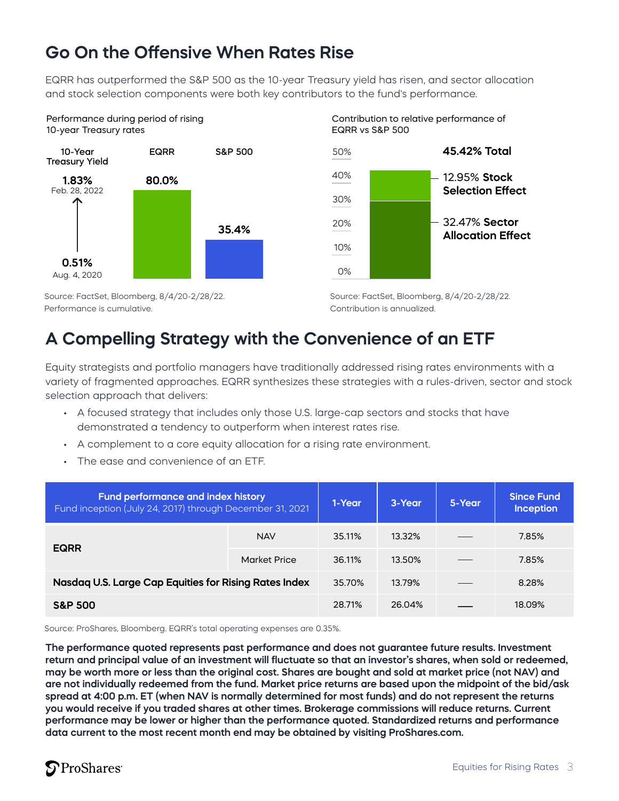### **Go On the Offensive When Rates Rise**

EQRR has outperformed the S&P 500 as the 10-year Treasury yield has risen, and sector allocation and stock selection components were both key contributors to the fund's performance.







Source: FactSet, Bloomberg, 8/4/20-2/28/22. Performance is cumulative.

Source: FactSet, Bloomberg, 8/4/20-2/28/22. Contribution is annualized.

### **A Compelling Strategy with the Convenience of an ETF**

Equity strategists and portfolio managers have traditionally addressed rising rates environments with a variety of fragmented approaches. EQRR synthesizes these strategies with a rules-driven, sector and stock selection approach that delivers:

- A focused strategy that includes only those U.S. large-cap sectors and stocks that have demonstrated a tendency to outperform when interest rates rise.
- A complement to a core equity allocation for a rising rate environment.
- The ease and convenience of an ETF.

| <b>Fund performance and index history</b><br>Fund inception (July 24, 2017) through December 31, 2021 |                     | 1-Year | 3-Year | 5-Year | <b>Since Fund</b><br><b>Inception</b> |
|-------------------------------------------------------------------------------------------------------|---------------------|--------|--------|--------|---------------------------------------|
| <b>EQRR</b>                                                                                           | <b>NAV</b>          | 35.11% | 13.32% |        | 7.85%                                 |
|                                                                                                       | <b>Market Price</b> | 36.11% | 13.50% |        | 7.85%                                 |
| Nasdaq U.S. Large Cap Equities for Rising Rates Index                                                 |                     | 35.70% | 13.79% |        | 8.28%                                 |
| <b>S&amp;P 500</b>                                                                                    |                     | 28.71% | 26.04% |        | 18.09%                                |

Source: ProShares, Bloomberg. EQRR's total operating expenses are 0.35%.

**The performance quoted represents past performance and does not guarantee future results. Investment return and principal value of an investment will fluctuate so that an investor's shares, when sold or redeemed, may be worth more or less than the original cost. Shares are bought and sold at market price (not NAV) and are not individually redeemed from the fund. Market price returns are based upon the midpoint of the bid/ask spread at 4:00 p.m. ET (when NAV is normally determined for most funds) and do not represent the returns you would receive if you traded shares at other times. Brokerage commissions will reduce returns. Current performance may be lower or higher than the performance quoted. Standardized returns and performance data current to the most recent month end may be obtained by visiting ProShares.com.**